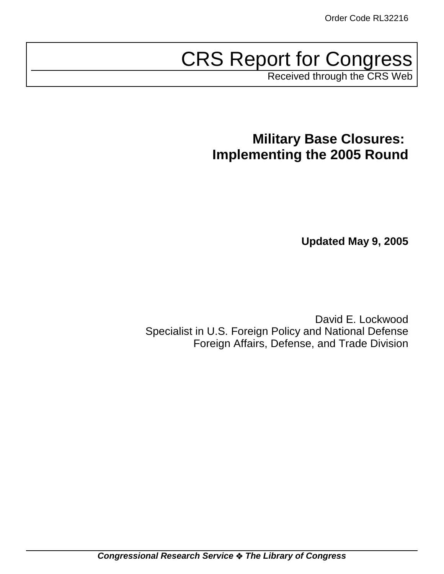# CRS Report for Congress

Received through the CRS Web

# **Military Base Closures: Implementing the 2005 Round**

**Updated May 9, 2005**

David E. Lockwood Specialist in U.S. Foreign Policy and National Defense Foreign Affairs, Defense, and Trade Division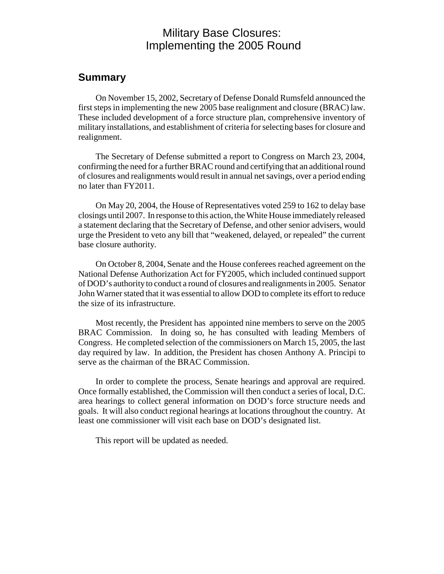### Military Base Closures: Implementing the 2005 Round

### **Summary**

On November 15, 2002, Secretary of Defense Donald Rumsfeld announced the first steps in implementing the new 2005 base realignment and closure (BRAC) law. These included development of a force structure plan, comprehensive inventory of military installations, and establishment of criteria for selecting bases for closure and realignment.

The Secretary of Defense submitted a report to Congress on March 23, 2004, confirming the need for a further BRAC round and certifying that an additional round of closures and realignments would result in annual net savings, over a period ending no later than FY2011.

On May 20, 2004, the House of Representatives voted 259 to 162 to delay base closings until 2007. In response to this action, the White House immediately released a statement declaring that the Secretary of Defense, and other senior advisers, would urge the President to veto any bill that "weakened, delayed, or repealed" the current base closure authority.

On October 8, 2004, Senate and the House conferees reached agreement on the National Defense Authorization Act for FY2005, which included continued support of DOD's authority to conduct a round of closures and realignments in 2005. Senator John Warner stated that it was essential to allow DOD to complete its effort to reduce the size of its infrastructure.

Most recently, the President has appointed nine members to serve on the 2005 BRAC Commission. In doing so, he has consulted with leading Members of Congress. He completed selection of the commissioners on March 15, 2005, the last day required by law. In addition, the President has chosen Anthony A. Principi to serve as the chairman of the BRAC Commission.

In order to complete the process, Senate hearings and approval are required. Once formally established, the Commission will then conduct a series of local, D.C. area hearings to collect general information on DOD's force structure needs and goals. It will also conduct regional hearings at locations throughout the country. At least one commissioner will visit each base on DOD's designated list.

This report will be updated as needed.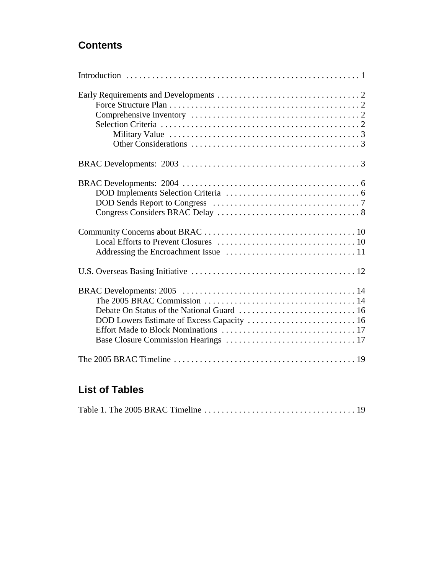### **Contents**

| DOD Lowers Estimate of Excess Capacity  16 |
|--------------------------------------------|
|                                            |
|                                            |
|                                            |

### **List of Tables**

|--|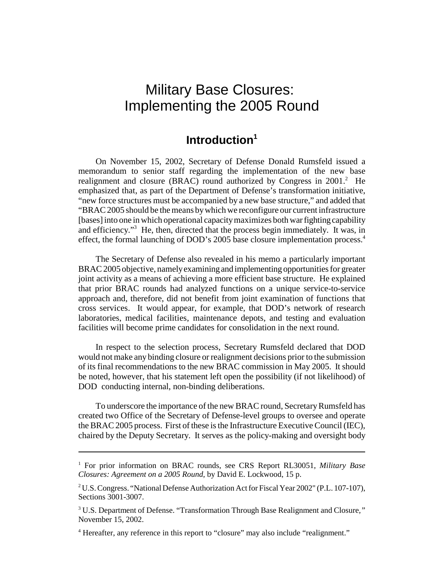## Military Base Closures: Implementing the 2005 Round

### **Introduction1**

On November 15, 2002, Secretary of Defense Donald Rumsfeld issued a memorandum to senior staff regarding the implementation of the new base realignment and closure (BRAC) round authorized by Congress in  $2001$ .<sup>2</sup> He emphasized that, as part of the Department of Defense's transformation initiative, "new force structures must be accompanied by a new base structure," and added that "BRAC 2005 should be the means by which we reconfigure our current infrastructure [bases] into one in which operational capacity maximizes both war fighting capability and efficiency."<sup>3</sup> He, then, directed that the process begin immediately. It was, in effect, the formal launching of DOD's 2005 base closure implementation process.<sup>4</sup>

The Secretary of Defense also revealed in his memo a particularly important BRAC 2005 objective, namely examining and implementing opportunities for greater joint activity as a means of achieving a more efficient base structure. He explained that prior BRAC rounds had analyzed functions on a unique service-to-service approach and, therefore, did not benefit from joint examination of functions that cross services. It would appear, for example, that DOD's network of research laboratories, medical facilities, maintenance depots, and testing and evaluation facilities will become prime candidates for consolidation in the next round.

In respect to the selection process, Secretary Rumsfeld declared that DOD would not make any binding closure or realignment decisions prior to the submission of its final recommendations to the new BRAC commission in May 2005. It should be noted, however, that his statement left open the possibility (if not likelihood) of DOD conducting internal, non-binding deliberations.

To underscore the importance of the new BRAC round, Secretary Rumsfeld has created two Office of the Secretary of Defense-level groups to oversee and operate the BRAC 2005 process. First of these is the Infrastructure Executive Council (IEC), chaired by the Deputy Secretary. It serves as the policy-making and oversight body

<sup>&</sup>lt;sup>1</sup> For prior information on BRAC rounds, see CRS Report RL30051, Military Base *Closures: Agreement on a 2005 Round*, by David E. Lockwood, 15 p.

<sup>&</sup>lt;sup>2</sup> U.S. Congress. "National Defense Authorization Act for Fiscal Year 2002" (P.L. 107-107), Sections 3001-3007.

<sup>3</sup> U.S. Department of Defense. "Transformation Through Base Realignment and Closure*,"* November 15, 2002.

<sup>&</sup>lt;sup>4</sup> Hereafter, any reference in this report to "closure" may also include "realignment."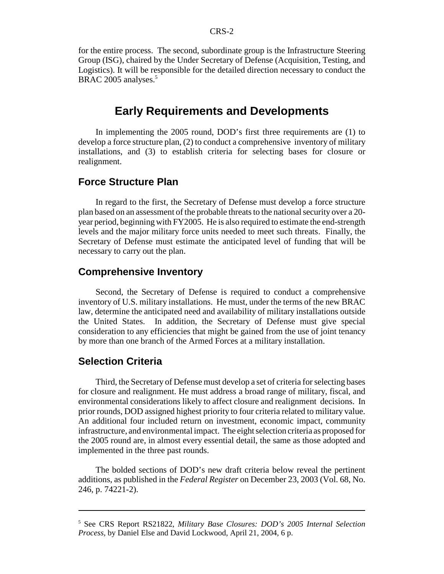for the entire process. The second, subordinate group is the Infrastructure Steering Group (ISG), chaired by the Under Secretary of Defense (Acquisition, Testing, and Logistics). It will be responsible for the detailed direction necessary to conduct the BRAC 2005 analyses.<sup>5</sup>

### **Early Requirements and Developments**

In implementing the 2005 round, DOD's first three requirements are (1) to develop a force structure plan, (2) to conduct a comprehensive inventory of military installations, and (3) to establish criteria for selecting bases for closure or realignment.

### **Force Structure Plan**

In regard to the first, the Secretary of Defense must develop a force structure plan based on an assessment of the probable threats to the national security over a 20 year period, beginning with FY2005. He is also required to estimate the end-strength levels and the major military force units needed to meet such threats. Finally, the Secretary of Defense must estimate the anticipated level of funding that will be necessary to carry out the plan.

#### **Comprehensive Inventory**

Second, the Secretary of Defense is required to conduct a comprehensive inventory of U.S. military installations. He must, under the terms of the new BRAC law, determine the anticipated need and availability of military installations outside the United States. In addition, the Secretary of Defense must give special consideration to any efficiencies that might be gained from the use of joint tenancy by more than one branch of the Armed Forces at a military installation.

#### **Selection Criteria**

Third, the Secretary of Defense must develop a set of criteria for selecting bases for closure and realignment. He must address a broad range of military, fiscal, and environmental considerations likely to affect closure and realignment decisions. In prior rounds, DOD assigned highest priority to four criteria related to military value. An additional four included return on investment, economic impact, community infrastructure, and environmental impact. The eight selection criteria as proposed for the 2005 round are, in almost every essential detail, the same as those adopted and implemented in the three past rounds.

The bolded sections of DOD's new draft criteria below reveal the pertinent additions, as published in the *Federal Register* on December 23, 2003 (Vol. 68, No. 246, p. 74221-2).

<sup>5</sup> See CRS Report RS21822, *Military Base Closures: DOD's 2005 Internal Selection Process,* by Daniel Else and David Lockwood, April 21, 2004, 6 p.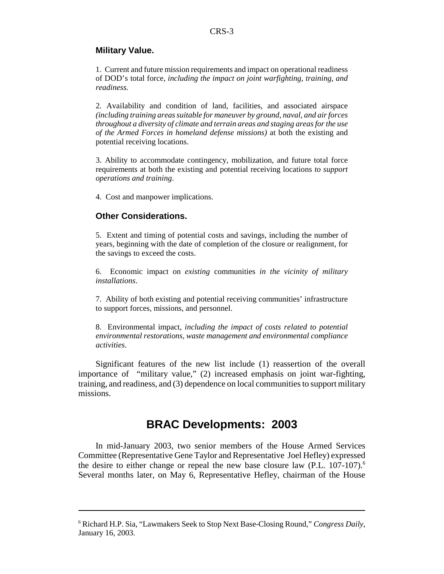#### **Military Value.**

1. Current and future mission requirements and impact on operational readiness of DOD's total force, *including the impact on joint warfighting, training, and readiness.*

2. Availability and condition of land, facilities, and associated airspace *(including training areas suitable for maneuver by ground, naval, and air forces throughout a diversity of climate and terrain areas and staging areas for the use of the Armed Forces in homeland defense missions)* at both the existing and potential receiving locations.

3. Ability to accommodate contingency, mobilization, and future total force requirements at both the existing and potential receiving locations *to support operations and training*.

4. Cost and manpower implications.

#### **Other Considerations.**

5. Extent and timing of potential costs and savings, including the number of years, beginning with the date of completion of the closure or realignment, for the savings to exceed the costs.

6. Economic impact on *existing* communities *in the vicinity of military installations*.

7. Ability of both existing and potential receiving communities' infrastructure to support forces, missions, and personnel.

8. Environmental impact, *including the impact of costs related to potential environmental restorations, waste management and environmental compliance activities*.

Significant features of the new list include (1) reassertion of the overall importance of "military value," (2) increased emphasis on joint war-fighting, training, and readiness, and (3) dependence on local communities to support military missions.

### **BRAC Developments: 2003**

In mid-January 2003, two senior members of the House Armed Services Committee (Representative Gene Taylor and Representative Joel Hefley) expressed the desire to either change or repeal the new base closure law  $(P.L. 107-107)$ .<sup>6</sup> Several months later, on May 6, Representative Hefley, chairman of the House

<sup>6</sup> Richard H.P. Sia, "Lawmakers Seek to Stop Next Base-Closing Round," *Congress Daily*, January 16, 2003.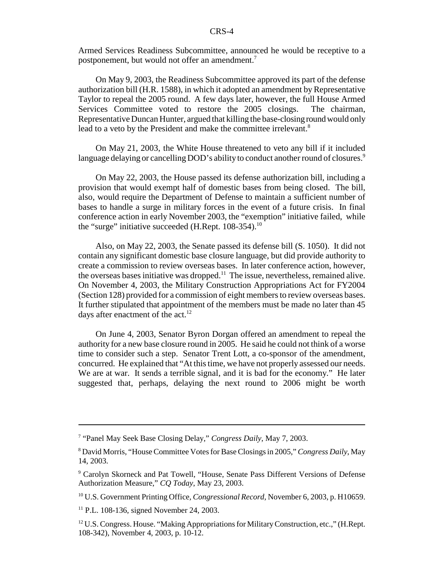Armed Services Readiness Subcommittee, announced he would be receptive to a postponement, but would not offer an amendment.<sup>7</sup>

On May 9, 2003, the Readiness Subcommittee approved its part of the defense authorization bill (H.R. 1588), in which it adopted an amendment by Representative Taylor to repeal the 2005 round. A few days later, however, the full House Armed Services Committee voted to restore the 2005 closings. The chairman, Representative Duncan Hunter, argued that killing the base-closing round would only lead to a veto by the President and make the committee irrelevant.<sup>8</sup>

On May 21, 2003, the White House threatened to veto any bill if it included language delaying or cancelling DOD's ability to conduct another round of closures.<sup>9</sup>

On May 22, 2003, the House passed its defense authorization bill, including a provision that would exempt half of domestic bases from being closed. The bill, also, would require the Department of Defense to maintain a sufficient number of bases to handle a surge in military forces in the event of a future crisis. In final conference action in early November 2003, the "exemption" initiative failed, while the "surge" initiative succeeded (H.Rept.  $108-354$ ).<sup>10</sup>

Also, on May 22, 2003, the Senate passed its defense bill (S. 1050). It did not contain any significant domestic base closure language, but did provide authority to create a commission to review overseas bases. In later conference action, however, the overseas bases initiative was dropped.<sup>11</sup> The issue, nevertheless, remained alive. On November 4, 2003, the Military Construction Appropriations Act for FY2004 (Section 128) provided for a commission of eight members to review overseas bases. It further stipulated that appointment of the members must be made no later than 45 days after enactment of the  $act.^{12}$ 

On June 4, 2003, Senator Byron Dorgan offered an amendment to repeal the authority for a new base closure round in 2005. He said he could not think of a worse time to consider such a step. Senator Trent Lott, a co-sponsor of the amendment, concurred. He explained that "At this time, we have not properly assessed our needs. We are at war. It sends a terrible signal, and it is bad for the economy." He later suggested that, perhaps, delaying the next round to 2006 might be worth

<sup>7</sup> "Panel May Seek Base Closing Delay," *Congress Daily*, May 7, 2003.

<sup>8</sup> David Morris, "House Committee Votes for Base Closings in 2005," *Congress Daily*, May 14, 2003.

<sup>9</sup> Carolyn Skorneck and Pat Towell, "House, Senate Pass Different Versions of Defense Authorization Measure," *CQ Today*, May 23, 2003.

<sup>10</sup> U.S. Government Printing Office*, Congressional Record*, November 6, 2003, p. H10659.

<sup>11</sup> P.L. 108-136, signed November 24, 2003.

 $12$  U.S. Congress. House. "Making Appropriations for Military Construction, etc.," (H.Rept.) 108-342), November 4, 2003, p. 10-12.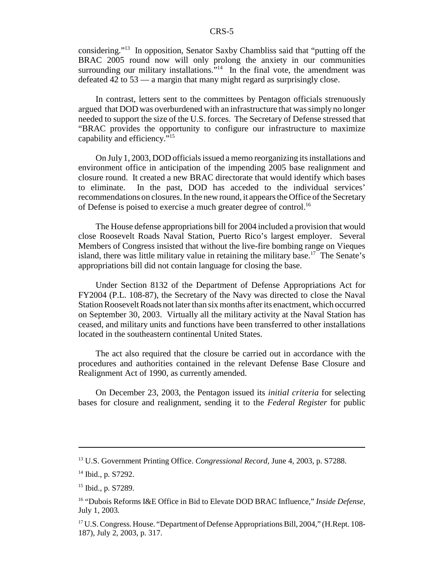considering."13 In opposition, Senator Saxby Chambliss said that "putting off the BRAC 2005 round now will only prolong the anxiety in our communities surrounding our military installations."<sup>14</sup> In the final vote, the amendment was defeated 42 to 53 — a margin that many might regard as surprisingly close.

In contrast, letters sent to the committees by Pentagon officials strenuously argued that DOD was overburdened with an infrastructure that was simply no longer needed to support the size of the U.S. forces. The Secretary of Defense stressed that "BRAC provides the opportunity to configure our infrastructure to maximize capability and efficiency."15

On July 1, 2003, DOD officials issued a memo reorganizing its installations and environment office in anticipation of the impending 2005 base realignment and closure round. It created a new BRAC directorate that would identify which bases to eliminate. In the past, DOD has acceded to the individual services' recommendations on closures. In the new round, it appears the Office of the Secretary of Defense is poised to exercise a much greater degree of control.<sup>16</sup>

The House defense appropriations bill for 2004 included a provision that would close Roosevelt Roads Naval Station, Puerto Rico's largest employer. Several Members of Congress insisted that without the live-fire bombing range on Vieques island, there was little military value in retaining the military base.<sup>17</sup> The Senate's appropriations bill did not contain language for closing the base.

Under Section 8132 of the Department of Defense Appropriations Act for FY2004 (P.L. 108-87), the Secretary of the Navy was directed to close the Naval Station Roosevelt Roads not later than six months after its enactment, which occurred on September 30, 2003. Virtually all the military activity at the Naval Station has ceased, and military units and functions have been transferred to other installations located in the southeastern continental United States.

The act also required that the closure be carried out in accordance with the procedures and authorities contained in the relevant Defense Base Closure and Realignment Act of 1990, as currently amended.

On December 23, 2003, the Pentagon issued its *initial criteria* for selecting bases for closure and realignment, sending it to the *Federal Register* for public

<sup>13</sup> U.S. Government Printing Office. *Congressional Record,* June 4, 2003, p. S7288.

<sup>&</sup>lt;sup>14</sup> Ibid., p. S7292.

<sup>15</sup> Ibid., p. S7289.

<sup>16 &</sup>quot;Dubois Reforms I&E Office in Bid to Elevate DOD BRAC Influence," *Inside Defense,* July 1, 2003*.*

<sup>&</sup>lt;sup>17</sup> U.S. Congress. House. "Department of Defense Appropriations Bill, 2004," (H.Rept. 108-187), July 2, 2003, p. 317.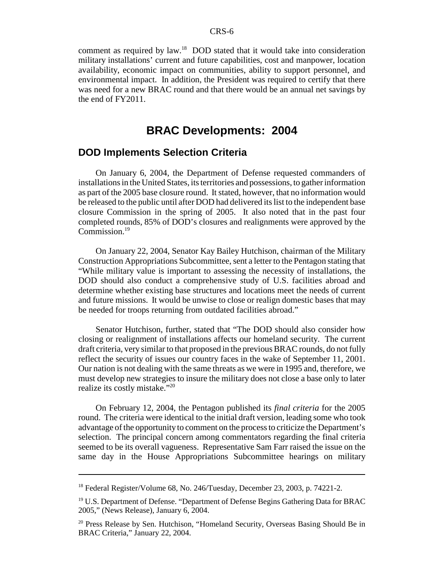comment as required by law.18 DOD stated that it would take into consideration military installations' current and future capabilities, cost and manpower, location availability, economic impact on communities, ability to support personnel, and environmental impact. In addition, the President was required to certify that there was need for a new BRAC round and that there would be an annual net savings by the end of FY2011.

### **BRAC Developments: 2004**

### **DOD Implements Selection Criteria**

On January 6, 2004, the Department of Defense requested commanders of installations in the United States, its territories and possessions, to gather information as part of the 2005 base closure round. It stated, however, that no information would be released to the public until after DOD had delivered its list to the independent base closure Commission in the spring of 2005. It also noted that in the past four completed rounds, 85% of DOD's closures and realignments were approved by the Commission.<sup>19</sup>

On January 22, 2004, Senator Kay Bailey Hutchison, chairman of the Military Construction Appropriations Subcommittee, sent a letter to the Pentagon stating that "While military value is important to assessing the necessity of installations, the DOD should also conduct a comprehensive study of U.S. facilities abroad and determine whether existing base structures and locations meet the needs of current and future missions. It would be unwise to close or realign domestic bases that may be needed for troops returning from outdated facilities abroad."

Senator Hutchison, further, stated that "The DOD should also consider how closing or realignment of installations affects our homeland security. The current draft criteria, very similar to that proposed in the previous BRAC rounds, do not fully reflect the security of issues our country faces in the wake of September 11, 2001. Our nation is not dealing with the same threats as we were in 1995 and, therefore, we must develop new strategies to insure the military does not close a base only to later realize its costly mistake."20

On February 12, 2004, the Pentagon published its *final criteria* for the 2005 round. The criteria were identical to the initial draft version, leading some who took advantage of the opportunity to comment on the process to criticize the Department's selection. The principal concern among commentators regarding the final criteria seemed to be its overall vagueness. Representative Sam Farr raised the issue on the same day in the House Appropriations Subcommittee hearings on military

<sup>&</sup>lt;sup>18</sup> Federal Register/Volume 68, No. 246/Tuesday, December 23, 2003, p. 74221-2.

<sup>&</sup>lt;sup>19</sup> U.S. Department of Defense. "Department of Defense Begins Gathering Data for BRAC 2005," (News Release), January 6, 2004.

<sup>&</sup>lt;sup>20</sup> Press Release by Sen. Hutchison, "Homeland Security, Overseas Basing Should Be in BRAC Criteria," January 22, 2004.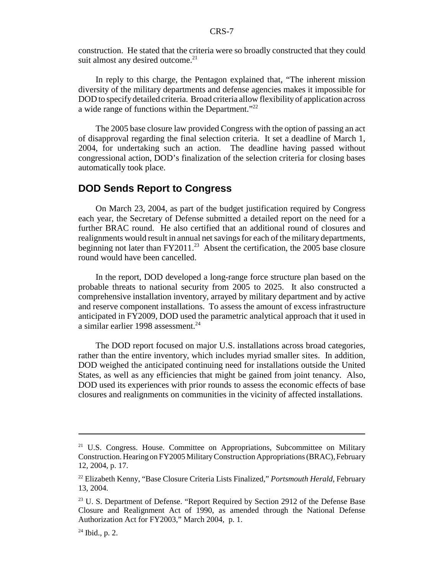construction. He stated that the criteria were so broadly constructed that they could suit almost any desired outcome.<sup>21</sup>

In reply to this charge, the Pentagon explained that, "The inherent mission diversity of the military departments and defense agencies makes it impossible for DOD to specify detailed criteria. Broad criteria allow flexibility of application across a wide range of functions within the Department."<sup>22</sup>

The 2005 base closure law provided Congress with the option of passing an act of disapproval regarding the final selection criteria. It set a deadline of March 1, 2004, for undertaking such an action. The deadline having passed without congressional action, DOD's finalization of the selection criteria for closing bases automatically took place.

### **DOD Sends Report to Congress**

On March 23, 2004, as part of the budget justification required by Congress each year, the Secretary of Defense submitted a detailed report on the need for a further BRAC round. He also certified that an additional round of closures and realignments would result in annual net savings for each of the military departments, beginning not later than  $FY2011.^{23}$  Absent the certification, the 2005 base closure round would have been cancelled.

In the report, DOD developed a long-range force structure plan based on the probable threats to national security from 2005 to 2025. It also constructed a comprehensive installation inventory, arrayed by military department and by active and reserve component installations. To assess the amount of excess infrastructure anticipated in FY2009, DOD used the parametric analytical approach that it used in a similar earlier 1998 assessment.<sup>24</sup>

The DOD report focused on major U.S. installations across broad categories, rather than the entire inventory, which includes myriad smaller sites. In addition, DOD weighed the anticipated continuing need for installations outside the United States, as well as any efficiencies that might be gained from joint tenancy. Also, DOD used its experiences with prior rounds to assess the economic effects of base closures and realignments on communities in the vicinity of affected installations.

<sup>&</sup>lt;sup>21</sup> U.S. Congress. House. Committee on Appropriations, Subcommittee on Military Construction. Hearing on FY2005 Military Construction Appropriations (BRAC), February 12, 2004, p. 17.

<sup>22</sup> Elizabeth Kenny, "Base Closure Criteria Lists Finalized," *Portsmouth Herald*, February 13, 2004.

<sup>&</sup>lt;sup>23</sup> U. S. Department of Defense. "Report Required by Section 2912 of the Defense Base Closure and Realignment Act of 1990, as amended through the National Defense Authorization Act for FY2003," March 2004, p. 1.

 $24$  Ibid., p. 2.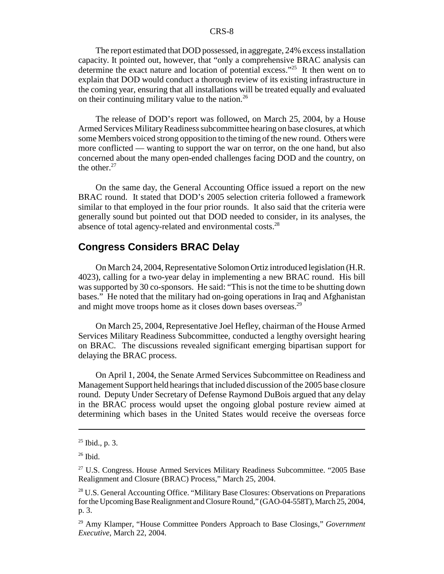The report estimated that DOD possessed, in aggregate, 24% excess installation capacity. It pointed out, however, that "only a comprehensive BRAC analysis can determine the exact nature and location of potential excess."25 It then went on to explain that DOD would conduct a thorough review of its existing infrastructure in the coming year, ensuring that all installations will be treated equally and evaluated on their continuing military value to the nation.<sup>26</sup>

The release of DOD's report was followed, on March 25, 2004, by a House Armed Services Military Readiness subcommittee hearing on base closures, at which some Members voiced strong opposition to the timing of the new round. Others were more conflicted — wanting to support the war on terror, on the one hand, but also concerned about the many open-ended challenges facing DOD and the country, on the other. $27$ 

On the same day, the General Accounting Office issued a report on the new BRAC round. It stated that DOD's 2005 selection criteria followed a framework similar to that employed in the four prior rounds. It also said that the criteria were generally sound but pointed out that DOD needed to consider, in its analyses, the absence of total agency-related and environmental costs.<sup>28</sup>

### **Congress Considers BRAC Delay**

On March 24, 2004, Representative Solomon Ortiz introduced legislation (H.R. 4023), calling for a two-year delay in implementing a new BRAC round. His bill was supported by 30 co-sponsors. He said: "This is not the time to be shutting down bases." He noted that the military had on-going operations in Iraq and Afghanistan and might move troops home as it closes down bases overseas.<sup>29</sup>

On March 25, 2004, Representative Joel Hefley, chairman of the House Armed Services Military Readiness Subcommittee, conducted a lengthy oversight hearing on BRAC. The discussions revealed significant emerging bipartisan support for delaying the BRAC process.

On April 1, 2004, the Senate Armed Services Subcommittee on Readiness and Management Support held hearings that included discussion of the 2005 base closure round. Deputy Under Secretary of Defense Raymond DuBois argued that any delay in the BRAC process would upset the ongoing global posture review aimed at determining which bases in the United States would receive the overseas force

 $25$  Ibid., p. 3.

 $26$  Ibid.

 $27$  U.S. Congress. House Armed Services Military Readiness Subcommittee. "2005 Base Realignment and Closure (BRAC) Process," March 25, 2004.

<sup>28</sup> U.S. General Accounting Office. "Military Base Closures: Observations on Preparations for the Upcoming Base Realignment and Closure Round," (GAO-04-558T), March 25, 2004, p. 3.

<sup>29</sup> Amy Klamper, "House Committee Ponders Approach to Base Closings," *Government Executive*, March 22, 2004.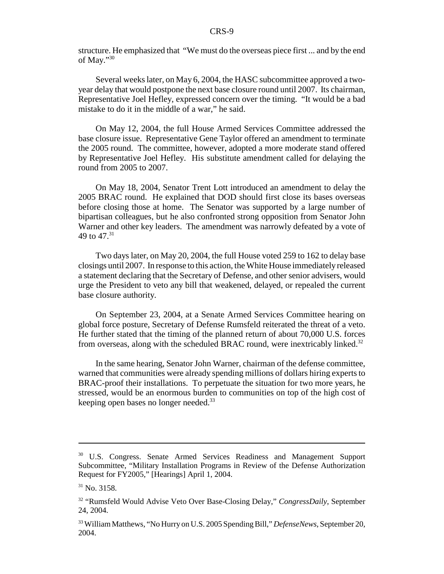structure. He emphasized that "We must do the overseas piece first ... and by the end of May."30

Several weeks later, on May 6, 2004, the HASC subcommittee approved a twoyear delay that would postpone the next base closure round until 2007. Its chairman, Representative Joel Hefley, expressed concern over the timing. "It would be a bad mistake to do it in the middle of a war," he said.

On May 12, 2004, the full House Armed Services Committee addressed the base closure issue. Representative Gene Taylor offered an amendment to terminate the 2005 round. The committee, however, adopted a more moderate stand offered by Representative Joel Hefley. His substitute amendment called for delaying the round from 2005 to 2007.

On May 18, 2004, Senator Trent Lott introduced an amendment to delay the 2005 BRAC round. He explained that DOD should first close its bases overseas before closing those at home. The Senator was supported by a large number of bipartisan colleagues, but he also confronted strong opposition from Senator John Warner and other key leaders. The amendment was narrowly defeated by a vote of 49 to 47.<sup>31</sup>

Two days later, on May 20, 2004, the full House voted 259 to 162 to delay base closings until 2007. In response to this action, the White House immediately released a statement declaring that the Secretary of Defense, and other senior advisers, would urge the President to veto any bill that weakened, delayed, or repealed the current base closure authority.

On September 23, 2004, at a Senate Armed Services Committee hearing on global force posture, Secretary of Defense Rumsfeld reiterated the threat of a veto. He further stated that the timing of the planned return of about 70,000 U.S. forces from overseas, along with the scheduled BRAC round, were inextricably linked.<sup>32</sup>

In the same hearing, Senator John Warner, chairman of the defense committee, warned that communities were already spending millions of dollars hiring experts to BRAC-proof their installations. To perpetuate the situation for two more years, he stressed, would be an enormous burden to communities on top of the high cost of keeping open bases no longer needed.<sup>33</sup>

<sup>&</sup>lt;sup>30</sup> U.S. Congress. Senate Armed Services Readiness and Management Support Subcommittee, "Military Installation Programs in Review of the Defense Authorization Request for FY2005," [Hearings] April 1, 2004.

 $31$  No. 3158.

<sup>32 &</sup>quot;Rumsfeld Would Advise Veto Over Base-Closing Delay," *CongressDaily*, September 24, 2004.

<sup>33</sup> William Matthews, "No Hurry on U.S. 2005 Spending Bill," *DefenseNews*, September 20, 2004.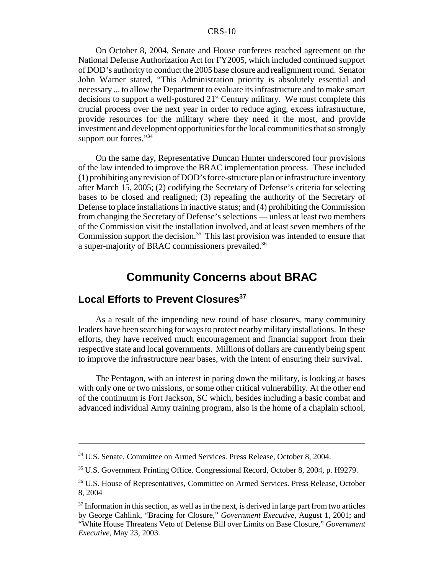On October 8, 2004, Senate and House conferees reached agreement on the National Defense Authorization Act for FY2005, which included continued support of DOD's authority to conduct the 2005 base closure and realignment round. Senator John Warner stated, "This Administration priority is absolutely essential and necessary ... to allow the Department to evaluate its infrastructure and to make smart decisions to support a well-postured  $21<sup>st</sup>$  Century military. We must complete this crucial process over the next year in order to reduce aging, excess infrastructure, provide resources for the military where they need it the most, and provide investment and development opportunities for the local communities that so strongly support our forces."<sup>34</sup>

On the same day, Representative Duncan Hunter underscored four provisions of the law intended to improve the BRAC implementation process. These included (1) prohibiting any revision of DOD's force-structure plan or infrastructure inventory after March 15, 2005; (2) codifying the Secretary of Defense's criteria for selecting bases to be closed and realigned; (3) repealing the authority of the Secretary of Defense to place installations in inactive status; and (4) prohibiting the Commission from changing the Secretary of Defense's selections — unless at least two members of the Commission visit the installation involved, and at least seven members of the Commission support the decision.<sup>35</sup> This last provision was intended to ensure that a super-majority of BRAC commissioners prevailed.<sup>36</sup>

### **Community Concerns about BRAC**

### **Local Efforts to Prevent Closures**<sup>37</sup>

As a result of the impending new round of base closures, many community leaders have been searching for ways to protect nearby military installations. In these efforts, they have received much encouragement and financial support from their respective state and local governments. Millions of dollars are currently being spent to improve the infrastructure near bases, with the intent of ensuring their survival.

The Pentagon, with an interest in paring down the military, is looking at bases with only one or two missions, or some other critical vulnerability. At the other end of the continuum is Fort Jackson, SC which, besides including a basic combat and advanced individual Army training program, also is the home of a chaplain school,

<sup>&</sup>lt;sup>34</sup> U.S. Senate, Committee on Armed Services. Press Release, October 8, 2004.

<sup>35</sup> U.S. Government Printing Office. Congressional Record, October 8, 2004, p. H9279.

<sup>&</sup>lt;sup>36</sup> U.S. House of Representatives, Committee on Armed Services. Press Release, October 8, 2004

 $37$  Information in this section, as well as in the next, is derived in large part from two articles by George Cahlink, "Bracing for Closure," *Government Executive*, August 1, 2001; and "White House Threatens Veto of Defense Bill over Limits on Base Closure," *Government Executive*, May 23, 2003.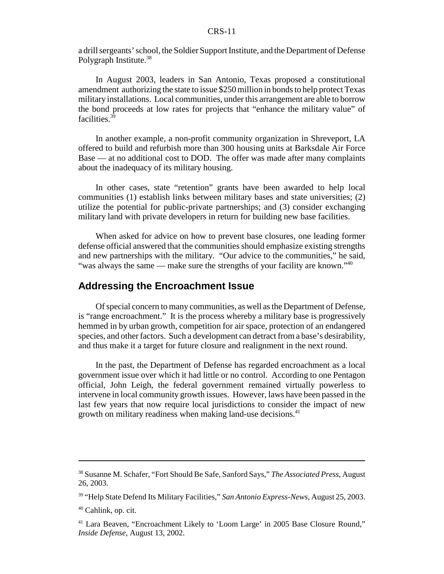a drill sergeants' school, the Soldier Support Institute, and the Department of Defense Polygraph Institute.<sup>38</sup>

In August 2003, leaders in San Antonio, Texas proposed a constitutional amendment authorizing the state to issue \$250 million in bonds to help protect Texas military installations. Local communities, under this arrangement are able to borrow the bond proceeds at low rates for projects that "enhance the military value" of facilities.<sup>3</sup>

In another example, a non-profit community organization in Shreveport, LA offered to build and refurbish more than 300 housing units at Barksdale Air Force Base — at no additional cost to DOD. The offer was made after many complaints about the inadequacy of its military housing.

In other cases, state "retention" grants have been awarded to help local communities (1) establish links between military bases and state universities; (2) utilize the potential for public-private partnerships; and (3) consider exchanging military land with private developers in return for building new base facilities.

When asked for advice on how to prevent base closures, one leading former defense official answered that the communities should emphasize existing strengths and new partnerships with the military. "Our advice to the communities," he said, "was always the same — make sure the strengths of your facility are known."<sup>40</sup>

#### **Addressing the Encroachment Issue**

Of special concern to many communities, as well as the Department of Defense, is "range encroachment." It is the process whereby a military base is progressively hemmed in by urban growth, competition for air space, protection of an endangered species, and other factors. Such a development can detract from a base's desirability, and thus make it a target for future closure and realignment in the next round.

In the past, the Department of Defense has regarded encroachment as a local government issue over which it had little or no control. According to one Pentagon official, John Leigh, the federal government remained virtually powerless to intervene in local community growth issues. However, laws have been passed in the last few years that now require local jurisdictions to consider the impact of new growth on military readiness when making land-use decisions.<sup>41</sup>

<sup>38</sup> Susanne M. Schafer, "Fort Should Be Safe, Sanford Says," *The Associated Press*, August 26, 2003.

<sup>39 &</sup>quot;Help State Defend Its Military Facilities," *San Antonio Express-News*, August 25, 2003.

<sup>40</sup> Cahlink, op. cit.

<sup>&</sup>lt;sup>41</sup> Lara Beaven, "Encroachment Likely to 'Loom Large' in 2005 Base Closure Round," *Inside Defense*, August 13, 2002.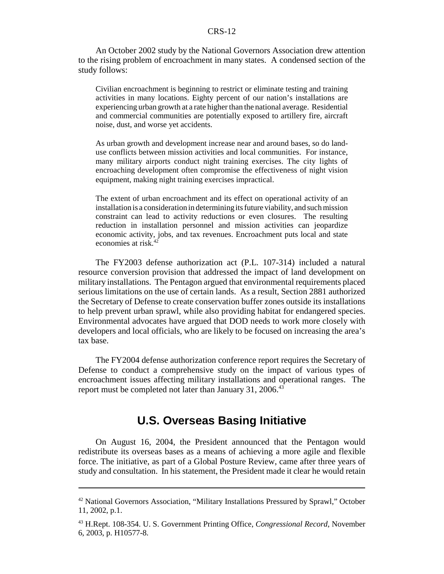An October 2002 study by the National Governors Association drew attention to the rising problem of encroachment in many states. A condensed section of the study follows:

Civilian encroachment is beginning to restrict or eliminate testing and training activities in many locations. Eighty percent of our nation's installations are experiencing urban growth at a rate higher than the national average. Residential and commercial communities are potentially exposed to artillery fire, aircraft noise, dust, and worse yet accidents.

As urban growth and development increase near and around bases, so do landuse conflicts between mission activities and local communities. For instance, many military airports conduct night training exercises. The city lights of encroaching development often compromise the effectiveness of night vision equipment, making night training exercises impractical.

The extent of urban encroachment and its effect on operational activity of an installation is a consideration in determining its future viability, and such mission constraint can lead to activity reductions or even closures. The resulting reduction in installation personnel and mission activities can jeopardize economic activity, jobs, and tax revenues. Encroachment puts local and state economies at risk.<sup>4</sup>

The FY2003 defense authorization act (P.L. 107-314) included a natural resource conversion provision that addressed the impact of land development on military installations. The Pentagon argued that environmental requirements placed serious limitations on the use of certain lands. As a result, Section 2881 authorized the Secretary of Defense to create conservation buffer zones outside its installations to help prevent urban sprawl, while also providing habitat for endangered species. Environmental advocates have argued that DOD needs to work more closely with developers and local officials, who are likely to be focused on increasing the area's tax base.

The FY2004 defense authorization conference report requires the Secretary of Defense to conduct a comprehensive study on the impact of various types of encroachment issues affecting military installations and operational ranges. The report must be completed not later than January 31,  $2006<sup>43</sup>$ 

### **U.S. Overseas Basing Initiative**

On August 16, 2004, the President announced that the Pentagon would redistribute its overseas bases as a means of achieving a more agile and flexible force. The initiative, as part of a Global Posture Review, came after three years of study and consultation. In his statement, the President made it clear he would retain

<sup>&</sup>lt;sup>42</sup> National Governors Association, "Military Installations Pressured by Sprawl," October 11, 2002, p.1.

<sup>43</sup> H.Rept. 108-354. U. S. Government Printing Office, *Congressional Record*, November 6, 2003, p. H10577-8.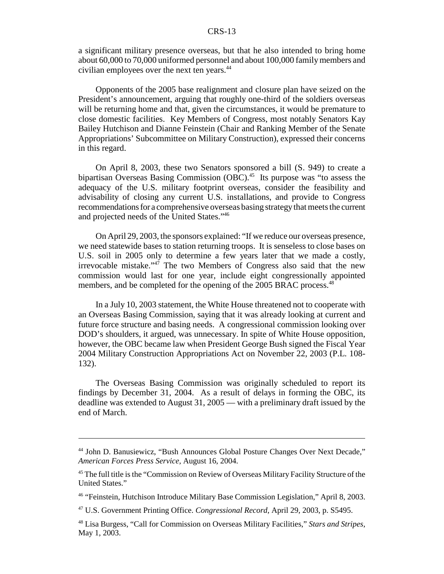a significant military presence overseas, but that he also intended to bring home about 60,000 to 70,000 uniformed personnel and about 100,000 family members and civilian employees over the next ten years.<sup>44</sup>

Opponents of the 2005 base realignment and closure plan have seized on the President's announcement, arguing that roughly one-third of the soldiers overseas will be returning home and that, given the circumstances, it would be premature to close domestic facilities. Key Members of Congress, most notably Senators Kay Bailey Hutchison and Dianne Feinstein (Chair and Ranking Member of the Senate Appropriations' Subcommittee on Military Construction), expressed their concerns in this regard.

On April 8, 2003, these two Senators sponsored a bill (S. 949) to create a bipartisan Overseas Basing Commission  $(OBC)$ <sup>45</sup> Its purpose was "to assess the adequacy of the U.S. military footprint overseas, consider the feasibility and advisability of closing any current U.S. installations, and provide to Congress recommendations for a comprehensive overseas basing strategy that meets the current and projected needs of the United States."46

On April 29, 2003, the sponsors explained: "If we reduce our overseas presence, we need statewide bases to station returning troops. It is senseless to close bases on U.S. soil in 2005 only to determine a few years later that we made a costly, irrevocable mistake." $47$  The two Members of Congress also said that the new commission would last for one year, include eight congressionally appointed members, and be completed for the opening of the 2005 BRAC process.<sup>48</sup>

In a July 10, 2003 statement, the White House threatened not to cooperate with an Overseas Basing Commission, saying that it was already looking at current and future force structure and basing needs. A congressional commission looking over DOD's shoulders, it argued, was unnecessary. In spite of White House opposition, however, the OBC became law when President George Bush signed the Fiscal Year 2004 Military Construction Appropriations Act on November 22, 2003 (P.L. 108- 132).

The Overseas Basing Commission was originally scheduled to report its findings by December 31, 2004. As a result of delays in forming the OBC, its deadline was extended to August 31, 2005 — with a preliminary draft issued by the end of March.

<sup>&</sup>lt;sup>44</sup> John D. Banusiewicz, "Bush Announces Global Posture Changes Over Next Decade," *American Forces Press Service,* August 16, 2004.

<sup>&</sup>lt;sup>45</sup> The full title is the "Commission on Review of Overseas Military Facility Structure of the United States."

<sup>46 &</sup>quot;Feinstein, Hutchison Introduce Military Base Commission Legislation," April 8, 2003.

<sup>47</sup> U.S. Government Printing Office. *Congressional Record*, April 29, 2003, p. S5495.

<sup>48</sup> Lisa Burgess, "Call for Commission on Overseas Military Facilities," *Stars and Stripes*, May 1, 2003.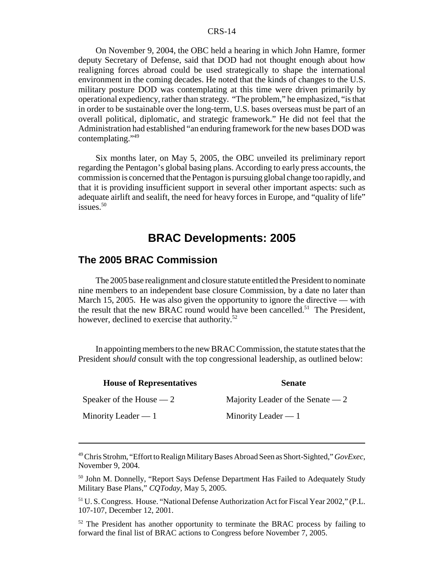On November 9, 2004, the OBC held a hearing in which John Hamre, former deputy Secretary of Defense, said that DOD had not thought enough about how realigning forces abroad could be used strategically to shape the international environment in the coming decades. He noted that the kinds of changes to the U.S. military posture DOD was contemplating at this time were driven primarily by operational expediency, rather than strategy. "The problem," he emphasized, "is that in order to be sustainable over the long-term, U.S. bases overseas must be part of an overall political, diplomatic, and strategic framework." He did not feel that the Administration had established "an enduring framework for the new bases DOD was contemplating."<sup>49</sup>

Six months later, on May 5, 2005, the OBC unveiled its preliminary report regarding the Pentagon's global basing plans. According to early press accounts, the commission is concerned that the Pentagon is pursuing global change too rapidly, and that it is providing insufficient support in several other important aspects: such as adequate airlift and sealift, the need for heavy forces in Europe, and "quality of life" issues.50

### **BRAC Developments: 2005**

### **The 2005 BRAC Commission**

The 2005 base realignment and closure statute entitled the President to nominate nine members to an independent base closure Commission, by a date no later than March 15, 2005. He was also given the opportunity to ignore the directive — with the result that the new BRAC round would have been cancelled.<sup>51</sup> The President, however, declined to exercise that authority.<sup>52</sup>

In appointing members to the new BRAC Commission, the statute states that the President *should* consult with the top congressional leadership, as outlined below:

| <b>House of Representatives</b> | <b>Senate</b>                      |
|---------------------------------|------------------------------------|
| Speaker of the House $-2$       | Majority Leader of the Senate $-2$ |
| Minority Leader $-1$            | Minority Leader $-1$               |

<sup>49</sup> Chris Strohm, "Effort to Realign Military Bases Abroad Seen as Short-Sighted," *GovExec*, November 9, 2004.

<sup>&</sup>lt;sup>50</sup> John M. Donnelly, "Report Says Defense Department Has Failed to Adequately Study Military Base Plans," *CQToday*, May 5, 2005.

<sup>51</sup> U. S. Congress. House. "National Defense Authorization Act for Fiscal Year 2002," (P.L. 107-107, December 12, 2001.

<sup>&</sup>lt;sup>52</sup> The President has another opportunity to terminate the BRAC process by failing to forward the final list of BRAC actions to Congress before November 7, 2005.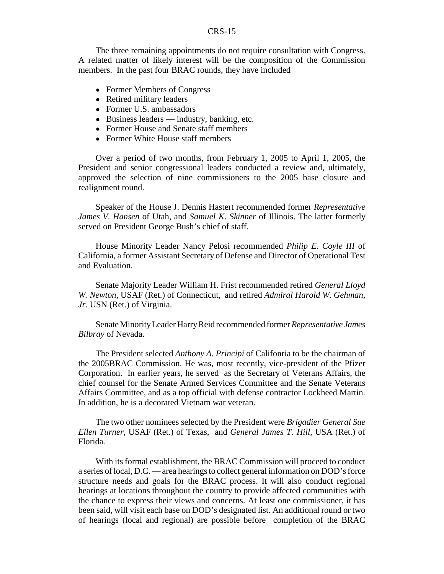The three remaining appointments do not require consultation with Congress. A related matter of likely interest will be the composition of the Commission members. In the past four BRAC rounds, they have included

- Former Members of Congress
- Retired military leaders
- Former U.S. ambassadors
- $\bullet$  Business leaders industry, banking, etc.
- ! Former House and Senate staff members
- Former White House staff members

Over a period of two months, from February 1, 2005 to April 1, 2005, the President and senior congressional leaders conducted a review and, ultimately, approved the selection of nine commissioners to the 2005 base closure and realignment round.

Speaker of the House J. Dennis Hastert recommended former *Representative James V. Hansen* of Utah, and *Samuel K. Skinner* of Illinois. The latter formerly served on President George Bush's chief of staff.

House Minority Leader Nancy Pelosi recommended *Philip E. Coyle III* of California, a former Assistant Secretary of Defense and Director of Operational Test and Evaluation.

Senate Majority Leader William H. Frist recommended retired *General Lloyd W. Newton,* USAF (Ret.) of Connecticut, and retired *Admiral Harold W. Gehman, Jr.* USN (Ret.) of Virginia.

Senate Minority Leader Harry Reid recommended former *Representative James Bilbray* of Nevada.

The President selected *Anthony A. Principi* of Califonria to be the chairman of the 2005BRAC Commission. He was, most recently, vice-president of the Pfizer Corporation. In earlier years, he served as the Secretary of Veterans Affairs, the chief counsel for the Senate Armed Services Committee and the Senate Veterans Affairs Committee, and as a top official with defense contractor Lockheed Martin. In addition, he is a decorated Vietnam war veteran.

The two other nominees selected by the President were *Brigadier General Sue Ellen Turner,* USAF (Ret.) of Texas, and *General James T. Hill,* USA (Ret.) of Florida*.*

With its formal establishment, the BRAC Commission will proceed to conduct a series of local, D.C. — area hearings to collect general information on DOD's force structure needs and goals for the BRAC process. It will also conduct regional hearings at locations throughout the country to provide affected communities with the chance to express their views and concerns. At least one commissioner, it has been said, will visit each base on DOD's designated list. An additional round or two of hearings (local and regional) are possible before completion of the BRAC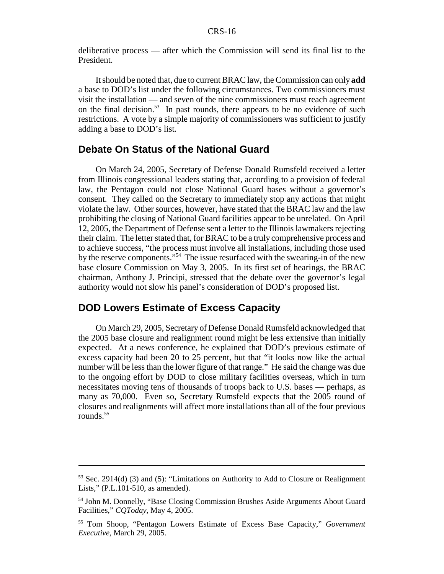deliberative process — after which the Commission will send its final list to the President.

It should be noted that, due to current BRAC law, the Commission can only **add** a base to DOD's list under the following circumstances. Two commissioners must visit the installation — and seven of the nine commissioners must reach agreement on the final decision.<sup>53</sup> In past rounds, there appears to be no evidence of such restrictions. A vote by a simple majority of commissioners was sufficient to justify adding a base to DOD's list.

#### **Debate On Status of the National Guard**

On March 24, 2005, Secretary of Defense Donald Rumsfeld received a letter from Illinois congressional leaders stating that, according to a provision of federal law, the Pentagon could not close National Guard bases without a governor's consent. They called on the Secretary to immediately stop any actions that might violate the law. Other sources, however, have stated that the BRAC law and the law prohibiting the closing of National Guard facilities appear to be unrelated. On April 12, 2005, the Department of Defense sent a letter to the Illinois lawmakers rejecting their claim. The letter stated that, for BRAC to be a truly comprehensive process and to achieve success, "the process must involve all installations, including those used by the reserve components."54 The issue resurfaced with the swearing-in of the new base closure Commission on May 3, 2005. In its first set of hearings, the BRAC chairman, Anthony J. Principi, stressed that the debate over the governor's legal authority would not slow his panel's consideration of DOD's proposed list.

### **DOD Lowers Estimate of Excess Capacity**

On March 29, 2005, Secretary of Defense Donald Rumsfeld acknowledged that the 2005 base closure and realignment round might be less extensive than initially expected. At a news conference, he explained that DOD's previous estimate of excess capacity had been 20 to 25 percent, but that "it looks now like the actual number will be less than the lower figure of that range." He said the change was due to the ongoing effort by DOD to close military facilities overseas, which in turn necessitates moving tens of thousands of troops back to U.S. bases — perhaps, as many as 70,000. Even so, Secretary Rumsfeld expects that the 2005 round of closures and realignments will affect more installations than all of the four previous rounds.<sup>55</sup>

<sup>53</sup> Sec. 2914(d) (3) and (5): "Limitations on Authority to Add to Closure or Realignment Lists," (P.L.101-510, as amended).

<sup>54</sup> John M. Donnelly, "Base Closing Commission Brushes Aside Arguments About Guard Facilities," *CQToday*, May 4, 2005.

<sup>55</sup> Tom Shoop, "Pentagon Lowers Estimate of Excess Base Capacity," *Government Executive*, March 29, 2005.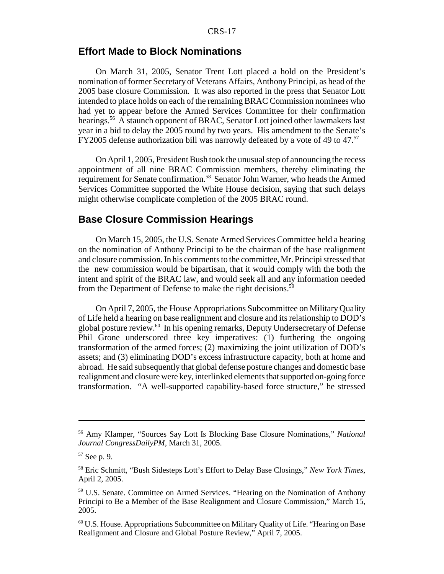### **Effort Made to Block Nominations**

On March 31, 2005, Senator Trent Lott placed a hold on the President's nomination of former Secretary of Veterans Affairs, Anthony Principi, as head of the 2005 base closure Commission. It was also reported in the press that Senator Lott intended to place holds on each of the remaining BRAC Commission nominees who had yet to appear before the Armed Services Committee for their confirmation hearings.<sup>56</sup> A staunch opponent of BRAC, Senator Lott joined other lawmakers last year in a bid to delay the 2005 round by two years. His amendment to the Senate's FY2005 defense authorization bill was narrowly defeated by a vote of 49 to 47.<sup>57</sup>

On April 1, 2005, President Bush took the unusual step of announcing the recess appointment of all nine BRAC Commission members, thereby eliminating the requirement for Senate confirmation.58 Senator John Warner, who heads the Armed Services Committee supported the White House decision, saying that such delays might otherwise complicate completion of the 2005 BRAC round.

### **Base Closure Commission Hearings**

On March 15, 2005, the U.S. Senate Armed Services Committee held a hearing on the nomination of Anthony Principi to be the chairman of the base realignment and closure commission. In his comments to the committee, Mr. Principi stressed that the new commission would be bipartisan, that it would comply with the both the intent and spirit of the BRAC law, and would seek all and any information needed from the Department of Defense to make the right decisions.<sup>59</sup>

On April 7, 2005, the House Appropriations Subcommittee on Military Quality of Life held a hearing on base realignment and closure and its relationship to DOD's global posture review.60 In his opening remarks, Deputy Undersecretary of Defense Phil Grone underscored three key imperatives: (1) furthering the ongoing transformation of the armed forces; (2) maximizing the joint utilization of DOD's assets; and (3) eliminating DOD's excess infrastructure capacity, both at home and abroad. He said subsequently that global defense posture changes and domestic base realignment and closure were key, interlinked elements that supported on-going force transformation. "A well-supported capability-based force structure," he stressed

<sup>56</sup> Amy Klamper, "Sources Say Lott Is Blocking Base Closure Nominations," *National Journal CongressDailyPM*, March 31, 2005.

<sup>57</sup> See p. 9.

<sup>58</sup> Eric Schmitt, "Bush Sidesteps Lott's Effort to Delay Base Closings," *New York Times*, April 2, 2005.

<sup>59</sup> U.S. Senate. Committee on Armed Services. "Hearing on the Nomination of Anthony Principi to Be a Member of the Base Realignment and Closure Commission," March 15, 2005.

 $60$  U.S. House. Appropriations Subcommittee on Military Quality of Life. "Hearing on Base Realignment and Closure and Global Posture Review," April 7, 2005.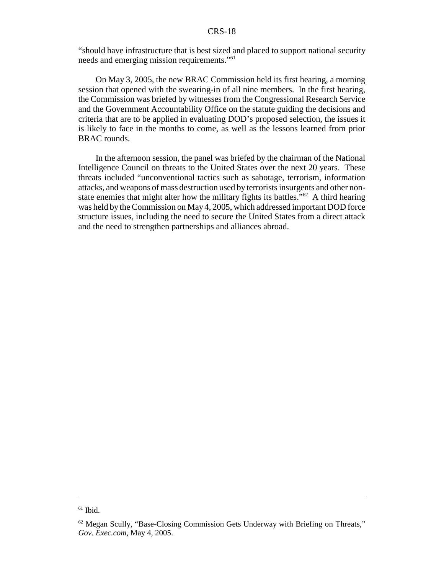"should have infrastructure that is best sized and placed to support national security needs and emerging mission requirements."61

On May 3, 2005, the new BRAC Commission held its first hearing, a morning session that opened with the swearing-in of all nine members. In the first hearing, the Commission was briefed by witnesses from the Congressional Research Service and the Government Accountability Office on the statute guiding the decisions and criteria that are to be applied in evaluating DOD's proposed selection, the issues it is likely to face in the months to come, as well as the lessons learned from prior BRAC rounds.

In the afternoon session, the panel was briefed by the chairman of the National Intelligence Council on threats to the United States over the next 20 years. These threats included "unconventional tactics such as sabotage, terrorism, information attacks, and weapons of mass destruction used by terrorists insurgents and other nonstate enemies that might alter how the military fights its battles."62 A third hearing was held by the Commission on May 4, 2005, which addressed important DOD force structure issues, including the need to secure the United States from a direct attack and the need to strengthen partnerships and alliances abroad.

 $61$  Ibid.

 $62$  Megan Scully, "Base-Closing Commission Gets Underway with Briefing on Threats," *Gov. Exec.com*, May 4, 2005.